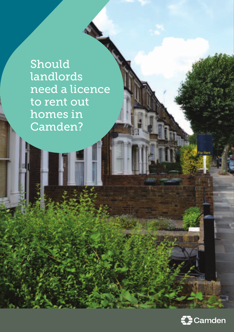Should landlords need a licence to rent out homes in Camden?

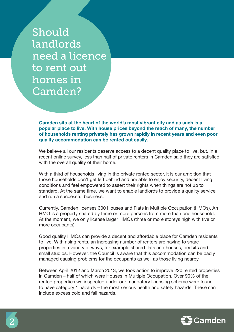Should landlords need a licence to rent out homes in Camden?

**Camden sits at the heart of the world's most vibrant city and as such is a popular place to live. With house prices beyond the reach of many, the number of households renting privately has grown rapidly in recent years and even poor quality accommodation can be rented out easily.**

We believe all our residents deserve access to a decent quality place to live, but, in a recent online survey, less than half of private renters in Camden said they are satisfied with the overall quality of their home.

With a third of households living in the private rented sector, it is our ambition that those households don't get left behind and are able to enjoy security, decent living conditions and feel empowered to assert their rights when things are not up to standard. At the same time, we want to enable landlords to provide a quality service and run a successful business.

Currently, Camden licenses 300 Houses and Flats in Multiple Occupation (HMOs). An HMO is a property shared by three or more persons from more than one household. At the moment, we only license larger HMOs (three or more storeys high with five or more occupants).

Good quality HMOs can provide a decent and affordable place for Camden residents to live. With rising rents, an increasing number of renters are having to share properties in a variety of ways, for example shared flats and houses, bedsits and small studios. However, the Council is aware that this accommodation can be badly managed causing problems for the occupants as well as those living nearby.

Between April 2012 and March 2013, we took action to improve 220 rented properties in Camden – half of which were Houses in Multiple Occupation. Over 90% of the rented properties we inspected under our mandatory licensing scheme were found to have category 1 hazards – the most serious health and safety hazards. These can include excess cold and fall hazards.

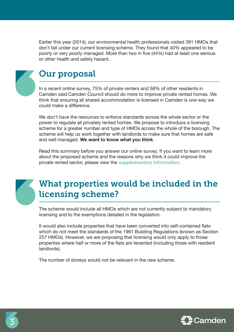Earlier this year (2014), our environmental health professionals visited 391 HMOs that don't fall under our current licensing scheme. They found that 40% appeared to be poorly or very poorly managed. More than two in five (44%) had at least one serious or other health and safety hazard.

## Our proposal

In a recent online survey, 75% of private renters and 58% of other residents in Camden said Camden Council should do more to improve private rented homes. We think that ensuring all shared accommodation is licensed in Camden is one way we could make a difference.

We don't have the resources to enforce standards across the whole sector or the power to regulate all privately rented homes. We propose to introduce a licensing scheme for a greater number and type of HMOs across the whole of the borough. The scheme will help us work together with landlords to make sure that homes are safe and well managed. **We want to know what you think**.

Read this summary before you answer our online survey. If you want to learn more about the proposed scheme and the reasons why we think it could improve the private rented sector, please view the **[supplementary information](http://www.camden.gov.uk/landlordlicence)**.

# What properties would be included in the licensing scheme?

The scheme would include all HMOs which are not currently subject to mandatory licensing and to the exemptions detailed in the legislation.

It would also include properties that have been converted into self-contained flats which do not meet the standards of the 1991 Building Regulations (known as Section 257 HMOs). However, we are proposing that licensing would only apply to those properties where half or more of the flats are tenanted (including those with resident landlords).

The number of storeys would not be relevant in the new scheme.

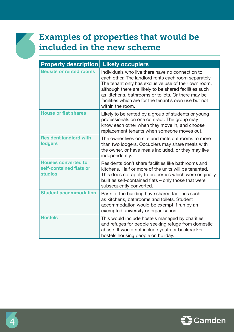# Examples of properties that would be included in the new scheme

| <b>Property description</b>                                             | <b>Likely occupiers</b>                                                                                                                                                                                                                                                                                                                                       |
|-------------------------------------------------------------------------|---------------------------------------------------------------------------------------------------------------------------------------------------------------------------------------------------------------------------------------------------------------------------------------------------------------------------------------------------------------|
| <b>Bedsits or rented rooms</b>                                          | Individuals who live there have no connection to<br>each other. The landlord rents each room separately.<br>The tenant only has exclusive use of their own room,<br>although there are likely to be shared facilities such<br>as kitchens, bathrooms or toilets. Or there may be<br>facilities which are for the tenant's own use but not<br>within the room. |
| <b>House or flat shares</b>                                             | Likely to be rented by a group of students or young<br>professionals on one contract. The group may<br>know each other when they move in, and choose<br>replacement tenants when someone moves out.                                                                                                                                                           |
| <b>Resident landlord with</b><br><b>lodgers</b>                         | The owner lives on site and rents out rooms to more<br>than two lodgers. Occupiers may share meals with<br>the owner, or have meals included, or they may live<br>independently.                                                                                                                                                                              |
| <b>Houses converted to</b><br>self-contained flats or<br><b>studios</b> | Residents don't share facilities like bathrooms and<br>kitchens. Half or more of the units will be tenanted.<br>This does not apply to properties which were originally<br>built as self-contained flats - only those that were<br>subsequently converted.                                                                                                    |
| <b>Student accommodation</b>                                            | Parts of the building have shared facilities such<br>as kitchens, bathrooms and toilets. Student<br>accommodation would be exempt if run by an<br>exempted university or organisation.                                                                                                                                                                        |
| <b>Hostels</b>                                                          | This would include hostels managed by charities<br>and refuges for people seeking refuge from domestic<br>abuse. It would not include youth or backpacker<br>hostels housing people on holiday.                                                                                                                                                               |

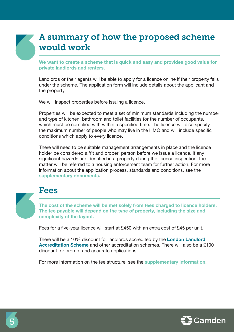## A summary of how the proposed scheme would work

**We want to create a scheme that is quick and easy and provides good value for private landlords and renters.** 

Landlords or their agents will be able to apply for a licence online if their property falls under the scheme. The application form will include details about the applicant and the property.

We will inspect properties before issuing a licence.

Properties will be expected to meet a set of minimum standards including the number and type of kitchen, bathroom and toilet facilities for the number of occupants, which must be complied with within a specified time. The licence will also specify the maximum number of people who may live in the HMO and will include specific conditions which apply to every licence.

There will need to be suitable management arrangements in place and the licence holder be considered a 'fit and proper' person before we issue a licence. If any significant hazards are identified in a property during the licence inspection, the matter will be referred to a housing enforcement team for further action. For more information about the application process, standards and conditions, see the **[supplementary documents.](http://www.camden.gov.uk/landlordlicence)**

### Fees

**The cost of the scheme will be met solely from fees charged to licence holders. The fee payable will depend on the type of property, including the size and complexity of the layout.** 

Fees for a five-year licence will start at £450 with an extra cost of £45 per unit.

There will be a 10% discount for landlords accredited by the **[London Landlord](http://www.londonlandlords.org.uk)  [Accreditation Scheme](http://www.londonlandlords.org.uk)** and other accreditation schemes. There will also be a £100 discount for prompt and accurate applications.

For more information on the fee structure, see the **[supplementary information](http://www.camden.gov.uk/landlordlicence)**.

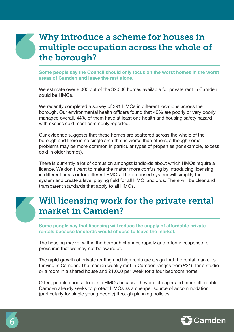# Why introduce a scheme for houses in multiple occupation across the whole of the borough?

**Some people say the Council should only focus on the worst homes in the worst areas of Camden and leave the rest alone.**

We estimate over 8,000 out of the 32,000 homes available for private rent in Camden could be HMOs.

We recently completed a survey of 391 HMOs in different locations across the borough. Our environmental health officers found that 40% are poorly or very poorly managed overall. 44% of them have at least one health and housing safety hazard with excess cold most commonly reported.

Our evidence suggests that these homes are scattered across the whole of the borough and there is no single area that is worse than others, although some problems may be more common in particular types of properties (for example, excess cold in older homes).

There is currently a lot of confusion amongst landlords about which HMOs require a licence. We don't want to make the matter more confusing by introducing licensing in different areas or for different HMOs. The proposed system will simplify the system and create a level playing field for all HMO landlords. There will be clear and transparent standards that apply to all HMOs.

# Will licensing work for the private rental market in Camden?

**Some people say that licensing will reduce the supply of affordable private rentals because landlords would choose to leave the market.**

The housing market within the borough changes rapidly and often in response to pressures that we may not be aware of.

The rapid growth of private renting and high rents are a sign that the rental market is thriving in Camden. The median weekly rent in Camden ranges from £215 for a studio or a room in a shared house and £1,000 per week for a four bedroom home.

Often, people choose to live in HMOs because they are cheaper and more affordable. Camden already seeks to protect HMOs as a cheaper source of accommodation (particularly for single young people) through planning policies.

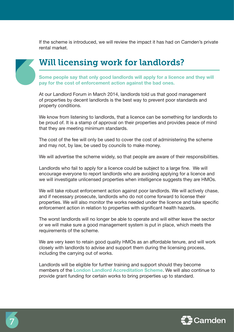If the scheme is introduced, we will review the impact it has had on Camden's private rental market.



# Will licensing work for landlords?

**Some people say that only good landlords will apply for a licence and they will pay for the cost of enforcement action against the bad ones.**

At our Landlord Forum in March 2014, landlords told us that good management of properties by decent landlords is the best way to prevent poor standards and property conditions.

We know from listening to landlords, that a licence can be something for landlords to be proud of. It is a stamp of approval on their properties and provides peace of mind that they are meeting minimum standards.

The cost of the fee will only be used to cover the cost of administering the scheme and may not, by law, be used by councils to make money.

We will advertise the scheme widely, so that people are aware of their responsibilities.

Landlords who fail to apply for a licence could be subject to a large fine. We will encourage everyone to report landlords who are avoiding applying for a licence and we will investigate unlicensed properties when intelligence suggests they are HMOs.

We will take robust enforcement action against poor landlords. We will actively chase, and if necessary prosecute, landlords who do not come forward to license their properties. We will also monitor the works needed under the licence and take specific enforcement action in relation to properties with significant health hazards.

The worst landlords will no longer be able to operate and will either leave the sector or we will make sure a good management system is put in place, which meets the requirements of the scheme.

We are very keen to retain good quality HMOs as an affordable tenure, and will work closely with landlords to advise and support them during the licensing process, including the carrying out of works.

Landlords will be eligible for further training and support should they become members of the **[London Landlord Accreditation Scheme](http://www.londonlandlords.org.uk)**. We will also continue to provide grant funding for certain works to bring properties up to standard.



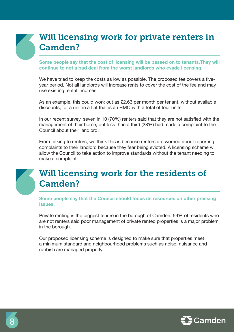# Will licensing work for private renters in Camden?

**Some people say that the cost of licensing will be passed on to tenants.They will continue to get a bad deal from the worst landlords who evade licensing.** 

We have tried to keep the costs as low as possible. The proposed fee covers a fiveyear period. Not all landlords will increase rents to cover the cost of the fee and may use existing rental incomes.

As an example, this could work out as £2.63 per month per tenant, without available discounts, for a unit in a flat that is an HMO with a total of four units.

In our recent survey, seven in 10 (70%) renters said that they are not satisfied with the management of their home, but less than a third (28%) had made a complaint to the Council about their landlord.

From talking to renters, we think this is because renters are worried about reporting complaints to their landlord because they fear being evicted. A licensing scheme will allow the Council to take action to improve standards without the tenant needing to make a complaint.

## Will licensing work for the residents of Camden?

**Some people say that the Council should focus its resources on other pressing issues.** 

Private renting is the biggest tenure in the borough of Camden. 59% of residents who are not renters said poor management of private rented properties is a major problem in the borough.

Our proposed licensing scheme is designed to make sure that properties meet a minimum standard and neighbourhood problems such as noise, nuisance and rubbish are managed properly.